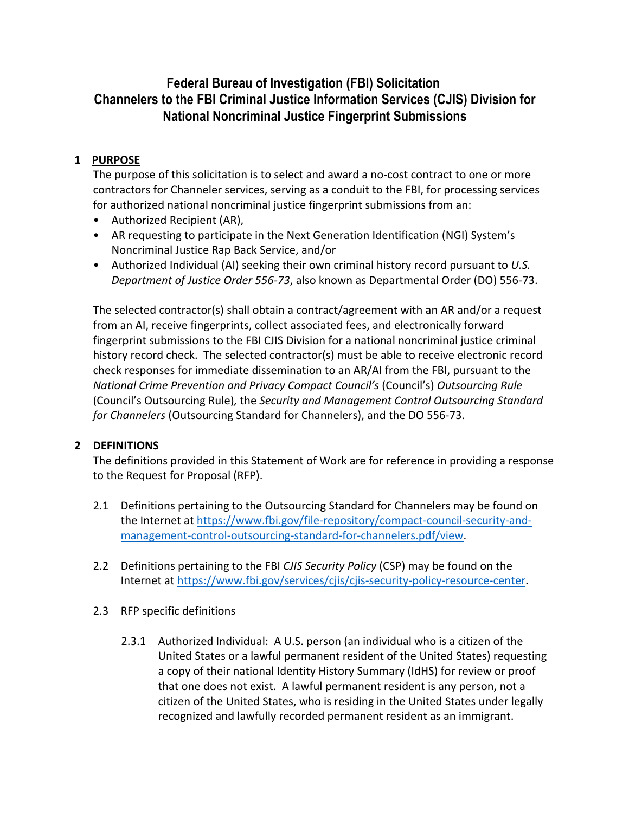## **Federal Bureau of Investigation (FBI) Solicitation Channelers to the FBI Criminal Justice Information Services (CJIS) Division for National Noncriminal Justice Fingerprint Submissions**

## **1 PURPOSE**

The purpose of this solicitation is to select and award a no-cost contract to one or more contractors for Channeler services, serving as a conduit to the FBI, for processing services for authorized national noncriminal justice fingerprint submissions from an:

- Authorized Recipient (AR),
- AR requesting to participate in the Next Generation Identification (NGI) System's Noncriminal Justice Rap Back Service, and/or
- Authorized Individual (AI) seeking their own criminal history record pursuant to *U.S. Department of Justice Order 556-73*, also known as Departmental Order (DO) 556-73.

The selected contractor(s) shall obtain a contract/agreement with an AR and/or a request from an AI, receive fingerprints, collect associated fees, and electronically forward fingerprint submissions to the FBI CJIS Division for a national noncriminal justice criminal history record check. The selected contractor(s) must be able to receive electronic record check responses for immediate dissemination to an AR/AI from the FBI, pursuant to the *National Crime Prevention and Privacy Compact Council's* (Council's) *Outsourcing Rule*  (Council's Outsourcing Rule)*,* the *Security and Management Control Outsourcing Standard for Channelers* (Outsourcing Standard for Channelers), and the DO 556-73.

## **2 DEFINITIONS**

The definitions provided in this Statement of Work are for reference in providing a response to the Request for Proposal (RFP).

- 2.1 Definitions pertaining to the Outsourcing Standard for Channelers may be found on the Internet at https://www.fbi.gov/file-repository/compact-council-security-andmanagement-control-outsourcing-standard-for-channelers.pdf/view.
- 2.2 Definitions pertaining to the FBI *CJIS Security Policy* (CSP) may be found on the Internet at https://www.fbi.gov/services/cjis/cjis-security-policy-resource-center.
- 2.3 RFP specific definitions
	- 2.3.1 Authorized Individual: A U.S. person (an individual who is a citizen of the United States or a lawful permanent resident of the United States) requesting a copy of their national Identity History Summary (IdHS) for review or proof that one does not exist. A lawful permanent resident is any person, not a citizen of the United States, who is residing in the United States under legally recognized and lawfully recorded permanent resident as an immigrant.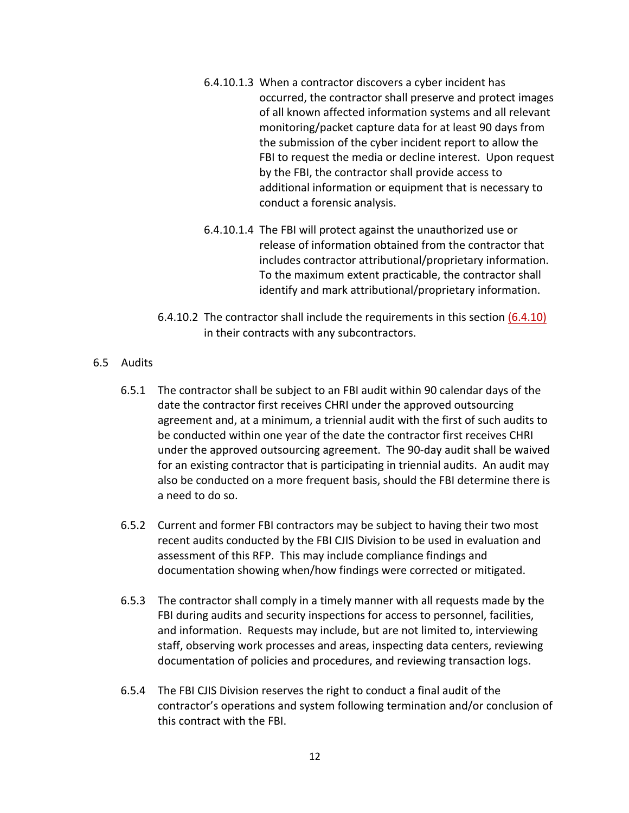- 6.4.10.1.3 When a contractor discovers a cyber incident has occurred, the contractor shall preserve and protect images of all known affected information systems and all relevant monitoring/packet capture data for at least 90 days from the submission of the cyber incident report to allow the FBI to request the media or decline interest. Upon request by the FBI, the contractor shall provide access to additional information or equipment that is necessary to conduct a forensic analysis.
- 6.4.10.1.4 The FBI will protect against the unauthorized use or release of information obtained from the contractor that includes contractor attributional/proprietary information. To the maximum extent practicable, the contractor shall identify and mark attributional/proprietary information.
- 6.4.10.2 The contractor shall include the requirements in this section (6.4.10) in their contracts with any subcontractors.

## 6.5 Audits

- 6.5.1 The contractor shall be subject to an FBI audit within 90 calendar days of the date the contractor first receives CHRI under the approved outsourcing agreement and, at a minimum, a triennial audit with the first of such audits to be conducted within one year of the date the contractor first receives CHRI under the approved outsourcing agreement. The 90-day audit shall be waived for an existing contractor that is participating in triennial audits. An audit may also be conducted on a more frequent basis, should the FBI determine there is a need to do so.
- 6.5.2 Current and former FBI contractors may be subject to having their two most recent audits conducted by the FBI CJIS Division to be used in evaluation and assessment of this RFP. This may include compliance findings and documentation showing when/how findings were corrected or mitigated.
- 6.5.3 The contractor shall comply in a timely manner with all requests made by the FBI during audits and security inspections for access to personnel, facilities, and information. Requests may include, but are not limited to, interviewing staff, observing work processes and areas, inspecting data centers, reviewing documentation of policies and procedures, and reviewing transaction logs.
- 6.5.4 The FBI CJIS Division reserves the right to conduct a final audit of the contractor's operations and system following termination and/or conclusion of this contract with the FBI.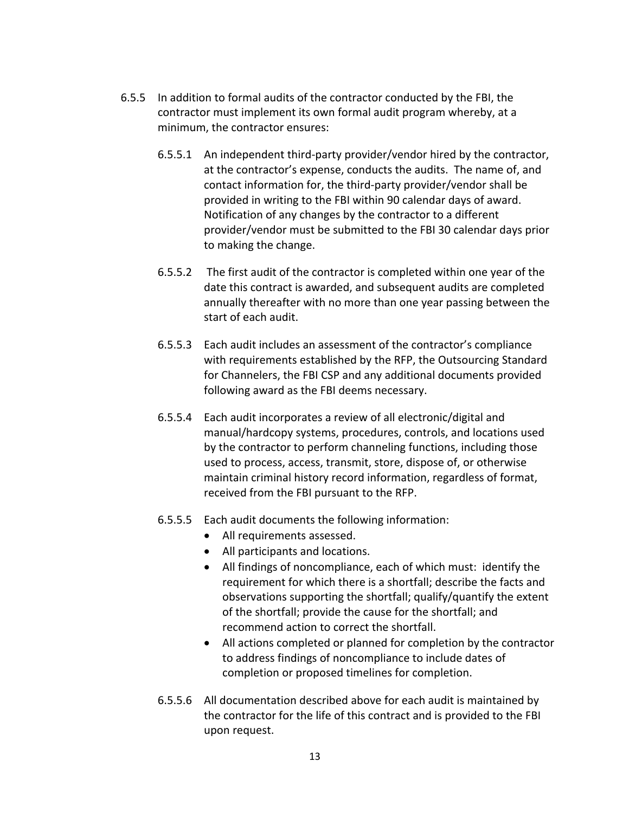- 6.5.5 In addition to formal audits of the contractor conducted by the FBI, the contractor must implement its own formal audit program whereby, at a minimum, the contractor ensures:
	- 6.5.5.1 An independent third-party provider/vendor hired by the contractor, at the contractor's expense, conducts the audits. The name of, and contact information for, the third-party provider/vendor shall be provided in writing to the FBI within 90 calendar days of award. Notification of any changes by the contractor to a different provider/vendor must be submitted to the FBI 30 calendar days prior to making the change.
	- 6.5.5.2 The first audit of the contractor is completed within one year of the date this contract is awarded, and subsequent audits are completed annually thereafter with no more than one year passing between the start of each audit.
	- 6.5.5.3 Each audit includes an assessment of the contractor's compliance with requirements established by the RFP, the Outsourcing Standard for Channelers, the FBI CSP and any additional documents provided following award as the FBI deems necessary.
	- 6.5.5.4 Each audit incorporates a review of all electronic/digital and manual/hardcopy systems, procedures, controls, and locations used by the contractor to perform channeling functions, including those used to process, access, transmit, store, dispose of, or otherwise maintain criminal history record information, regardless of format, received from the FBI pursuant to the RFP.
	- 6.5.5.5 Each audit documents the following information:
		- All requirements assessed.
		- All participants and locations.
		- All findings of noncompliance, each of which must: identify the requirement for which there is a shortfall; describe the facts and observations supporting the shortfall; qualify/quantify the extent of the shortfall; provide the cause for the shortfall; and recommend action to correct the shortfall.
		- All actions completed or planned for completion by the contractor to address findings of noncompliance to include dates of completion or proposed timelines for completion.
	- 6.5.5.6 All documentation described above for each audit is maintained by the contractor for the life of this contract and is provided to the FBI upon request.